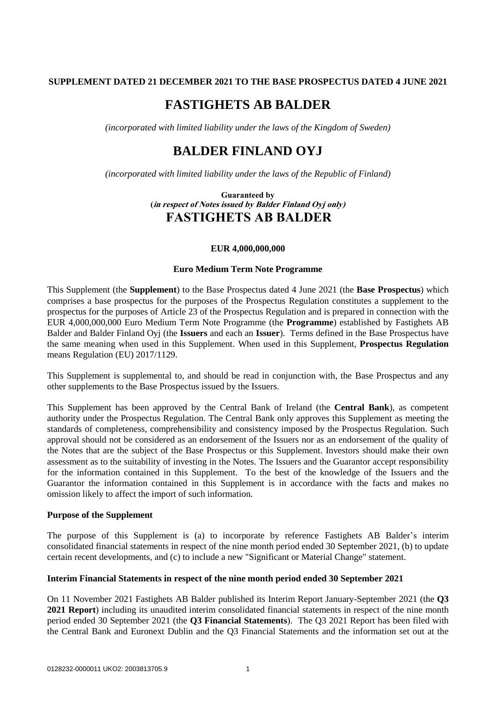## **SUPPLEMENT DATED 21 DECEMBER 2021 TO THE BASE PROSPECTUS DATED 4 JUNE 2021**

# **FASTIGHETS AB BALDER**

*(incorporated with limited liability under the laws of the Kingdom of Sweden)*

## **BALDER FINLAND OYJ**

*(incorporated with limited liability under the laws of the Republic of Finland)*

**Guaranteed by (in respect of Notes issued by Balder Finland Oyj only) FASTIGHETS AB BALDER**

#### **EUR 4,000,000,000**

#### **Euro Medium Term Note Programme**

This Supplement (the **Supplement**) to the Base Prospectus dated 4 June 2021 (the **Base Prospectus**) which comprises a base prospectus for the purposes of the Prospectus Regulation constitutes a supplement to the prospectus for the purposes of Article 23 of the Prospectus Regulation and is prepared in connection with the EUR 4,000,000,000 Euro Medium Term Note Programme (the **Programme**) established by Fastighets AB Balder and Balder Finland Oyj (the **Issuers** and each an **Issuer**). Terms defined in the Base Prospectus have the same meaning when used in this Supplement. When used in this Supplement, **Prospectus Regulation** means Regulation (EU) 2017/1129.

This Supplement is supplemental to, and should be read in conjunction with, the Base Prospectus and any other supplements to the Base Prospectus issued by the Issuers.

This Supplement has been approved by the Central Bank of Ireland (the **Central Bank**), as competent authority under the Prospectus Regulation. The Central Bank only approves this Supplement as meeting the standards of completeness, comprehensibility and consistency imposed by the Prospectus Regulation. Such approval should not be considered as an endorsement of the Issuers nor as an endorsement of the quality of the Notes that are the subject of the Base Prospectus or this Supplement. Investors should make their own assessment as to the suitability of investing in the Notes. The Issuers and the Guarantor accept responsibility for the information contained in this Supplement. To the best of the knowledge of the Issuers and the Guarantor the information contained in this Supplement is in accordance with the facts and makes no omission likely to affect the import of such information.

### **Purpose of the Supplement**

The purpose of this Supplement is (a) to incorporate by reference Fastighets AB Balder's interim consolidated financial statements in respect of the nine month period ended 30 September 2021, (b) to update certain recent developments, and (c) to include a new "Significant or Material Change" statement.

## **Interim Financial Statements in respect of the nine month period ended 30 September 2021**

On 11 November 2021 Fastighets AB Balder published its Interim Report January-September 2021 (the **Q3 2021 Report**) including its unaudited interim consolidated financial statements in respect of the nine month period ended 30 September 2021 (the **Q3 Financial Statements**). The Q3 2021 Report has been filed with the Central Bank and Euronext Dublin and the Q3 Financial Statements and the information set out at the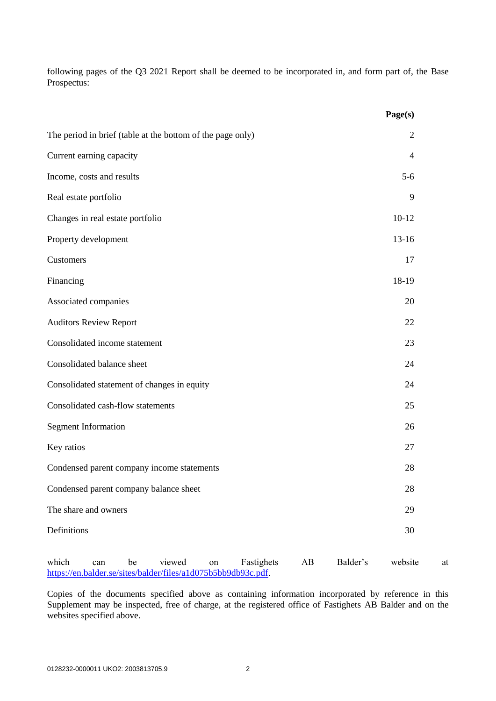following pages of the Q3 2021 Report shall be deemed to be incorporated in, and form part of, the Base Prospectus:

|                                                            | Page(s)        |
|------------------------------------------------------------|----------------|
| The period in brief (table at the bottom of the page only) | 2              |
| Current earning capacity                                   | $\overline{4}$ |
| Income, costs and results                                  | $5-6$          |
| Real estate portfolio                                      | 9              |
| Changes in real estate portfolio                           | $10-12$        |
| Property development                                       | $13-16$        |
| Customers                                                  | 17             |
| Financing                                                  | 18-19          |
| Associated companies                                       | 20             |
| <b>Auditors Review Report</b>                              | 22             |
| Consolidated income statement                              | 23             |
| Consolidated balance sheet                                 | 24             |
| Consolidated statement of changes in equity                | 24             |
| Consolidated cash-flow statements                          | 25             |
| <b>Segment Information</b>                                 | 26             |
| Key ratios                                                 | 27             |
| Condensed parent company income statements                 | 28             |
| Condensed parent company balance sheet                     | 28             |
| The share and owners                                       | 29             |
| Definitions                                                | 30             |
|                                                            |                |

which can be viewed on Fastighets AB Balder's website at [https://en.balder.se/sites/balder/files/a1d075b5bb9db93c.pdf.](https://en.balder.se/sites/balder/files/a1d075b5bb9db93c.pdf)

Copies of the documents specified above as containing information incorporated by reference in this Supplement may be inspected, free of charge, at the registered office of Fastighets AB Balder and on the websites specified above.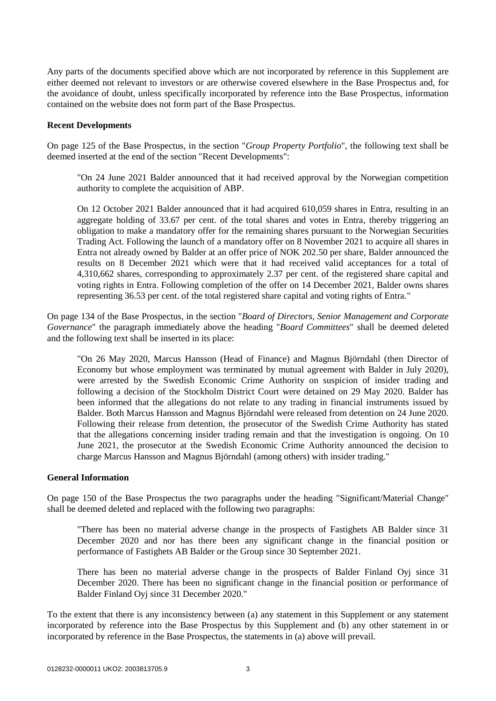Any parts of the documents specified above which are not incorporated by reference in this Supplement are either deemed not relevant to investors or are otherwise covered elsewhere in the Base Prospectus and, for the avoidance of doubt, unless specifically incorporated by reference into the Base Prospectus, information contained on the website does not form part of the Base Prospectus.

#### **Recent Developments**

On page 125 of the Base Prospectus, in the section "*Group Property Portfolio*", the following text shall be deemed inserted at the end of the section "Recent Developments":

"On 24 June 2021 Balder announced that it had received approval by the Norwegian competition authority to complete the acquisition of ABP.

On 12 October 2021 Balder announced that it had acquired 610,059 shares in Entra, resulting in an aggregate holding of 33.67 per cent. of the total shares and votes in Entra, thereby triggering an obligation to make a mandatory offer for the remaining shares pursuant to the Norwegian Securities Trading Act. Following the launch of a mandatory offer on 8 November 2021 to acquire all shares in Entra not already owned by Balder at an offer price of NOK 202.50 per share, Balder announced the results on 8 December 2021 which were that it had received valid acceptances for a total of 4,310,662 shares, corresponding to approximately 2.37 per cent. of the registered share capital and voting rights in Entra. Following completion of the offer on 14 December 2021, Balder owns shares representing 36.53 per cent. of the total registered share capital and voting rights of Entra."

On page 134 of the Base Prospectus, in the section "*Board of Directors, Senior Management and Corporate Governance*" the paragraph immediately above the heading "*Board Committees*" shall be deemed deleted and the following text shall be inserted in its place:

"On 26 May 2020, Marcus Hansson (Head of Finance) and Magnus Björndahl (then Director of Economy but whose employment was terminated by mutual agreement with Balder in July 2020), were arrested by the Swedish Economic Crime Authority on suspicion of insider trading and following a decision of the Stockholm District Court were detained on 29 May 2020. Balder has been informed that the allegations do not relate to any trading in financial instruments issued by Balder. Both Marcus Hansson and Magnus Björndahl were released from detention on 24 June 2020. Following their release from detention, the prosecutor of the Swedish Crime Authority has stated that the allegations concerning insider trading remain and that the investigation is ongoing. On 10 June 2021, the prosecutor at the Swedish Economic Crime Authority announced the decision to charge Marcus Hansson and Magnus Björndahl (among others) with insider trading."

## **General Information**

On page 150 of the Base Prospectus the two paragraphs under the heading "Significant/Material Change" shall be deemed deleted and replaced with the following two paragraphs:

"There has been no material adverse change in the prospects of Fastighets AB Balder since 31 December 2020 and nor has there been any significant change in the financial position or performance of Fastighets AB Balder or the Group since 30 September 2021.

There has been no material adverse change in the prospects of Balder Finland Oyj since 31 December 2020. There has been no significant change in the financial position or performance of Balder Finland Oyj since 31 December 2020."

To the extent that there is any inconsistency between (a) any statement in this Supplement or any statement incorporated by reference into the Base Prospectus by this Supplement and (b) any other statement in or incorporated by reference in the Base Prospectus, the statements in (a) above will prevail.